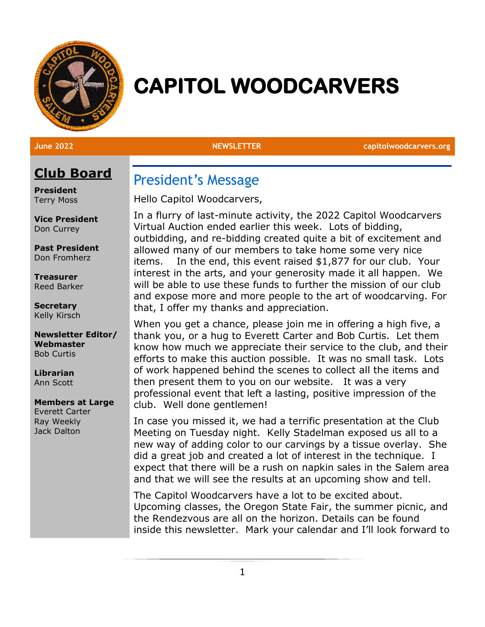

# **CAPITOL WOODCARVERS**

**June 2022 NEWSLETTER capitolwoodcarvers.org**

# **Club Board**

**President** Terry Moss

**Vice President** Don Currey

**Past President** Don Fromherz

**Treasurer** Reed Barker

**Secretary** Kelly Kirsch

**Newsletter Editor/ Webmaster** Bob Curtis

**Librarian** Ann Scott

### **Members at Large**

Everett Carter Ray Weekly Jack Dalton

President's Message

Hello Capitol Woodcarvers,

In a flurry of last-minute activity, the 2022 Capitol Woodcarvers Virtual Auction ended earlier this week. Lots of bidding, outbidding, and re-bidding created quite a bit of excitement and allowed many of our members to take home some very nice items. In the end, this event raised \$1,877 for our club. Your interest in the arts, and your generosity made it all happen. We will be able to use these funds to further the mission of our club and expose more and more people to the art of woodcarving. For that, I offer my thanks and appreciation.

When you get a chance, please join me in offering a high five, a thank you, or a hug to Everett Carter and Bob Curtis. Let them know how much we appreciate their service to the club, and their efforts to make this auction possible. It was no small task. Lots of work happened behind the scenes to collect all the items and then present them to you on our website. It was a very professional event that left a lasting, positive impression of the club. Well done gentlemen!

In case you missed it, we had a terrific presentation at the Club Meeting on Tuesday night. Kelly Stadelman exposed us all to a new way of adding color to our carvings by a tissue overlay. She did a great job and created a lot of interest in the technique. I expect that there will be a rush on napkin sales in the Salem area and that we will see the results at an upcoming show and tell.

The Capitol Woodcarvers have a lot to be excited about. Upcoming classes, the Oregon State Fair, the summer picnic, and the Rendezvous are all on the horizon. Details can be found inside this newsletter. Mark your calendar and I'll look forward to

1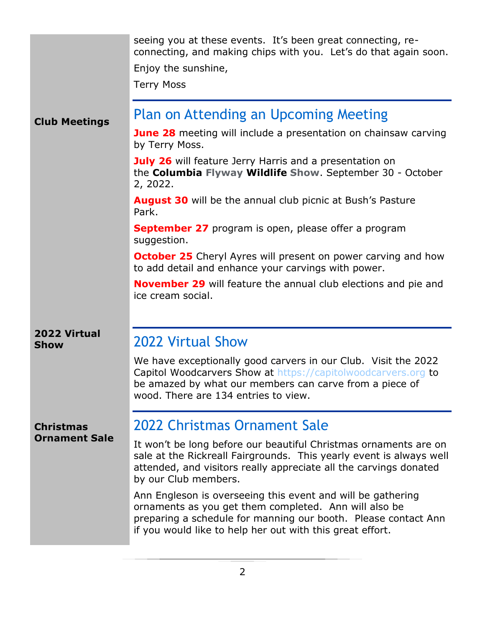|                                          | seeing you at these events. It's been great connecting, re-<br>connecting, and making chips with you. Let's do that again soon.<br>Enjoy the sunshine,<br><b>Terry Moss</b>                                                                         |
|------------------------------------------|-----------------------------------------------------------------------------------------------------------------------------------------------------------------------------------------------------------------------------------------------------|
| <b>Club Meetings</b>                     | Plan on Attending an Upcoming Meeting                                                                                                                                                                                                               |
|                                          | <b>June 28</b> meeting will include a presentation on chainsaw carving<br>by Terry Moss.                                                                                                                                                            |
|                                          | <b>July 26</b> will feature Jerry Harris and a presentation on<br>the Columbia Flyway Wildlife Show. September 30 - October<br>2, 2022.                                                                                                             |
|                                          | <b>August 30</b> will be the annual club picnic at Bush's Pasture<br>Park.                                                                                                                                                                          |
|                                          | <b>September 27</b> program is open, please offer a program<br>suggestion.                                                                                                                                                                          |
|                                          | <b>October 25</b> Cheryl Ayres will present on power carving and how<br>to add detail and enhance your carvings with power.                                                                                                                         |
|                                          | <b>November 29</b> will feature the annual club elections and pie and<br>ice cream social.                                                                                                                                                          |
| 2022 Virtual<br><b>Show</b>              | <b>2022 Virtual Show</b>                                                                                                                                                                                                                            |
|                                          | We have exceptionally good carvers in our Club. Visit the 2022<br>Capitol Woodcarvers Show at https://capitolwoodcarvers.org to<br>be amazed by what our members can carve from a piece of<br>wood. There are 134 entries to view.                  |
| <b>Christmas</b><br><b>Ornament Sale</b> | 2022 Christmas Ornament Sale                                                                                                                                                                                                                        |
|                                          | It won't be long before our beautiful Christmas ornaments are on<br>sale at the Rickreall Fairgrounds. This yearly event is always well<br>attended, and visitors really appreciate all the carvings donated<br>by our Club members.                |
|                                          | Ann Engleson is overseeing this event and will be gathering<br>ornaments as you get them completed. Ann will also be<br>preparing a schedule for manning our booth. Please contact Ann<br>if you would like to help her out with this great effort. |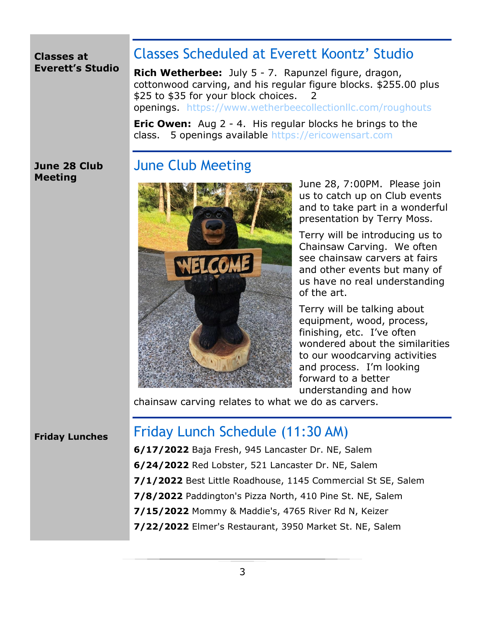### **Classes at Everett's Studio**

# Classes Scheduled at Everett Koontz' Studio

**Rich Wetherbee:** July 5 - 7. Rapunzel figure, dragon, cottonwood carving, and his regular figure blocks. \$255.00 plus \$25 to \$35 for your block choices. 2 openings. <https://www.wetherbeecollectionllc.com/roughouts>

**Eric Owen:** Aug 2 - 4. His regular blocks he brings to the class. 5 openings available [https://ericowensart.com](https://ericowensart.com/)

### **June 28 Club Meeting**

# June Club Meeting



June 28, 7:00PM. Please join us to catch up on Club events and to take part in a wonderful presentation by Terry Moss.

Terry will be introducing us to Chainsaw Carving. We often see chainsaw carvers at fairs and other events but many of us have no real understanding of the art.

Terry will be talking about equipment, wood, process, finishing, etc. I've often wondered about the similarities to our woodcarving activities and process. I'm looking forward to a better understanding and how

chainsaw carving relates to what we do as carvers.

### **Friday Lunches**

# Friday Lunch Schedule (11:30 AM)

**6/17/2022** Baja Fresh, 945 Lancaster Dr. NE, Salem **6/24/2022** Red Lobster, 521 Lancaster Dr. NE, Salem **7/1/2022** Best Little Roadhouse, 1145 Commercial St SE, Salem **7/8/2022** Paddington's Pizza North, 410 Pine St. NE, Salem **7/15/2022** Mommy & Maddie's, 4765 River Rd N, Keizer **7/22/2022** Elmer's Restaurant, 3950 Market St. NE, Salem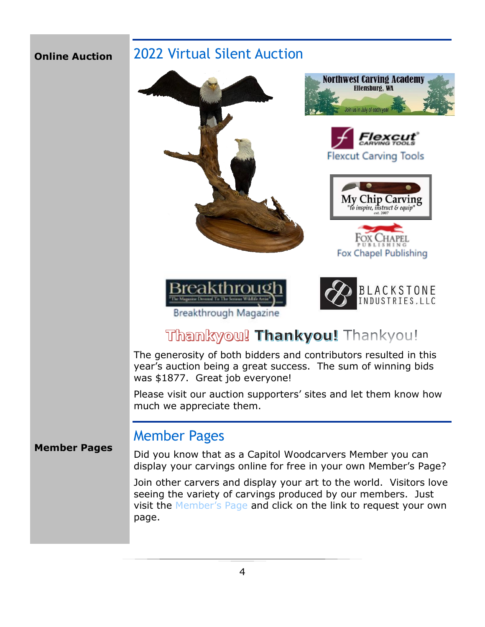### **Online Auction**

**Member Pages**

# 2022 Virtual Silent Auction



# Thankyou! Thankyou! Thankyou!

The generosity of both bidders and contributors resulted in this year's auction being a great success. The sum of winning bids was \$1877. Great job everyone!

Please visit our auction supporters' sites and let them know how much we appreciate them.

## Member Pages

Did you know that as a Capitol Woodcarvers Member you can display your carvings online for free in your own Member's Page?

Join other carvers and display your art to the world. Visitors love seeing the variety of carvings produced by our members. Just visit the [Member's Page](https://capitolwoodcarvers.org/virtualshow.php) and click on the link to request your own page.

### 4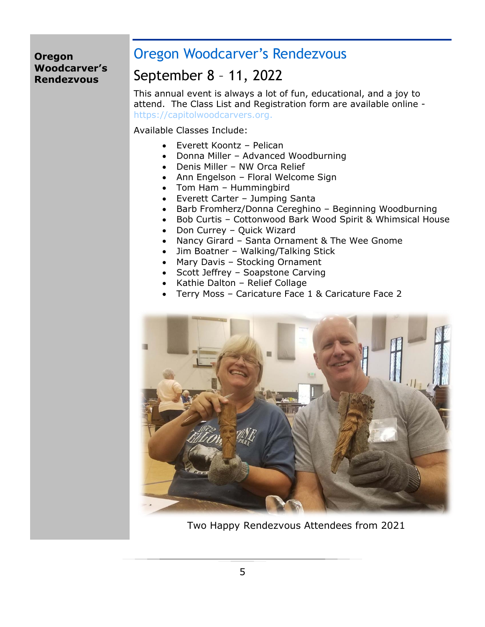### **Oregon Woodcarver's Rendezvous**

# Oregon Woodcarver's Rendezvous

# September 8 – 11, 2022

This annual event is always a lot of fun, educational, and a joy to attend. The Class List and Registration form are available online [https://capitolwoodcarvers.org.](https://capitolwoodcarvers.org./)

Available Classes Include:

- Everett Koontz Pelican
- Donna Miller Advanced Woodburning
- Denis Miller NW Orca Relief
- Ann Engelson Floral Welcome Sign
- Tom Ham Hummingbird
- Everett Carter Jumping Santa
- Barb Fromherz/Donna Cereghino Beginning Woodburning
- Bob Curtis Cottonwood Bark Wood Spirit & Whimsical House
- Don Currey Quick Wizard
- Nancy Girard Santa Ornament & The Wee Gnome
- Jim Boatner Walking/Talking Stick
- Mary Davis Stocking Ornament
- Scott Jeffrey Soapstone Carving
- Kathie Dalton Relief Collage
- Terry Moss Caricature Face 1 & Caricature Face 2



Two Happy Rendezvous Attendees from 2021